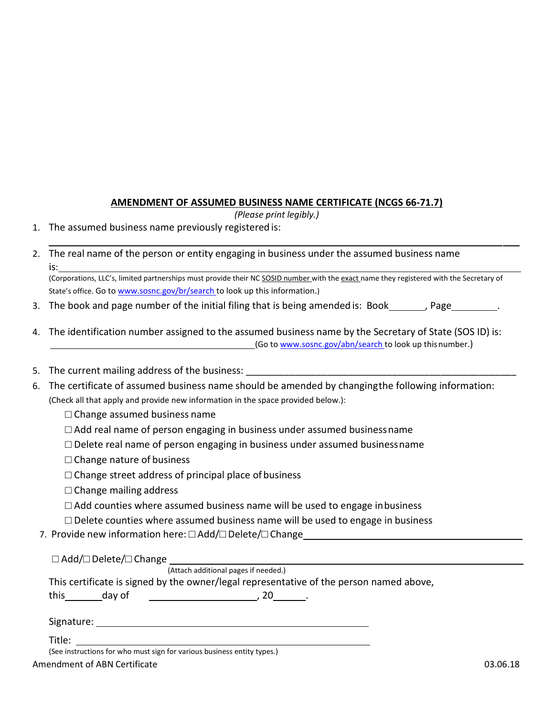## **AMENDMENT OF ASSUMED BUSINESS NAME CERTIFICATE (NCGS 66-71.7)**

*(Please print legibly.)*

- 1. The assumed business name previously registered is:
- 2. The real name of the person or entity engaging in business under the assumed business name is:

(Corporations, LLC's, limited partnerships must provide their NC SOSID number with the exact name they registered with the Secretary of State's office. G[o t](https://www.sosnc.gov/br/search)o www.sosnc.gov/br/search to look up this information.)

- 3. The book and page number of the initial filing that is being amended is: Book\_\_\_\_\_\_\_, Page\_\_\_\_
- 4. The identification number assigned to the assumed business name by the Secretary of State (SOS ID) is: (Go to [www.sosnc.gov/abn/search t](http://www.sosnc.gov/abn/search)o look up thisnumber.)
- 5. The current mailing address of the business:
- 6. The certificate of assumed business name should be amended by changingthe following information: (Check all that apply and provide new information in the space provided below.):
	- $\square$  Change assumed business name
	- $\Box$  Add real name of person engaging in business under assumed business name
	- $\Box$  Delete real name of person engaging in business under assumed businessname
	- $\Box$  Change nature of business
	- $\Box$  Change street address of principal place of business
	- $\Box$  Change mailing address
	- $\Box$  Add counties where assumed business name will be used to engage inbusiness
	- $\Box$  Delete counties where assumed business name will be used to engage in business
	- 7. Provide new information here: □ Add/□ Delete/□ Change

□ Add/□ Delete/□ Change

(Attach additional pages if needed.)

This certificate is signed by the owner/legal representative of the person named above,

this day of **day of the set of the set of the set of the set of the set of the set of the set of the set of the** 

| Signature: |  |
|------------|--|
|------------|--|

Title:  $\frac{1}{\sqrt{1-\frac{1}{\sqrt{1-\frac{1}{\sqrt{1-\frac{1}{\sqrt{1-\frac{1}{\sqrt{1-\frac{1}{\sqrt{1-\frac{1}{\sqrt{1-\frac{1}{\sqrt{1-\frac{1}{\sqrt{1-\frac{1}{\sqrt{1-\frac{1}{\sqrt{1-\frac{1}{\sqrt{1-\frac{1}{\sqrt{1-\frac{1}{\sqrt{1-\frac{1}{\sqrt{1-\frac{1}{\sqrt{1-\frac{1}{\sqrt{1-\frac{1}{\sqrt{1-\frac{1}{\sqrt{1-\frac{1}{\sqrt{1-\frac{1}{\sqrt{1-\frac{1}{\sqrt{1-\frac{1}{\sqrt{1-\frac{1}{\sqrt$ Amendment of ABN Certificate 03.06.18